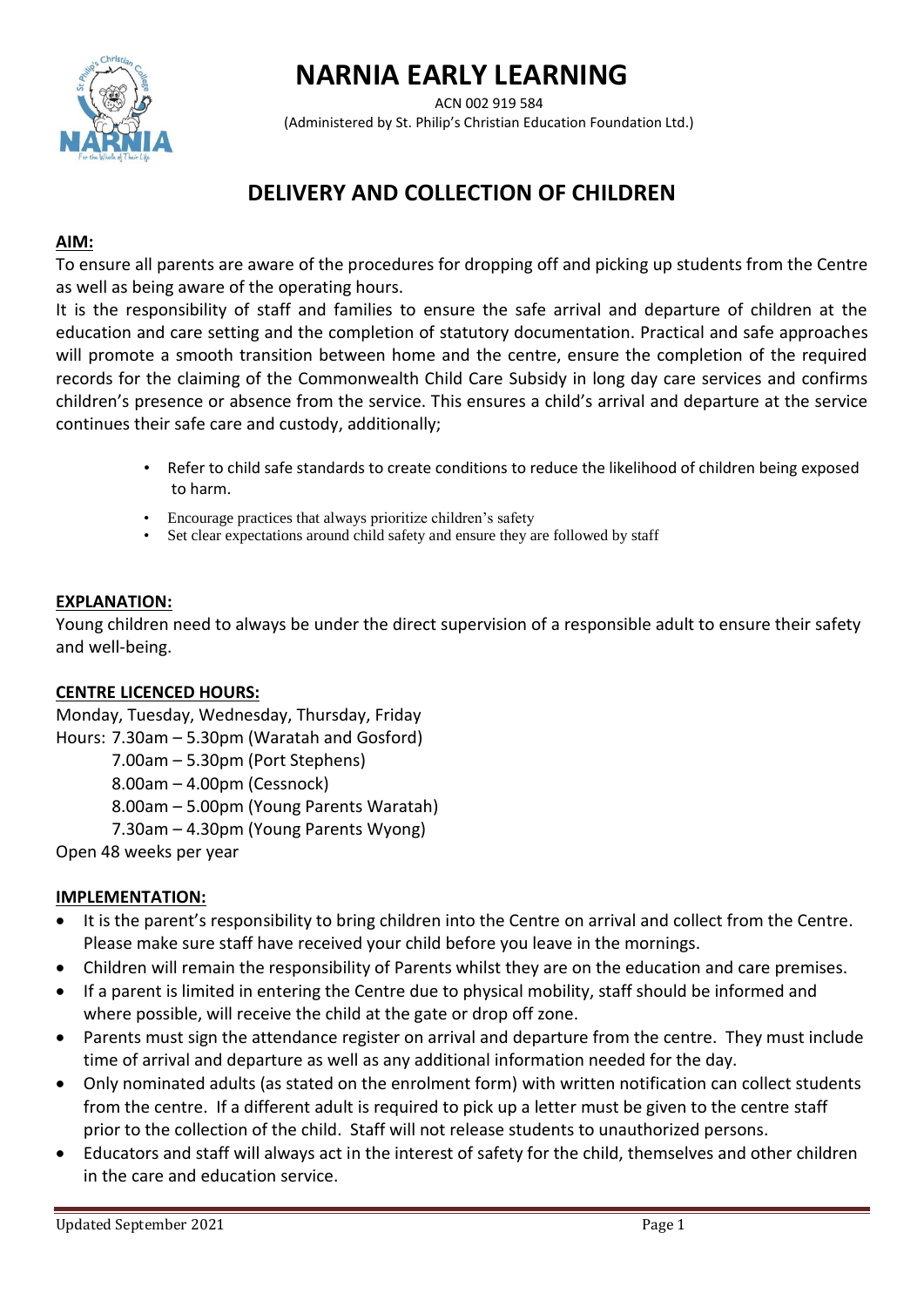# **NARNIA EARLY LEARNING**



ACN 002 919 584 (Administered by St. Philip's Christian Education Foundation Ltd.)

# **DELIVERY AND COLLECTION OF CHILDREN**

## **AIM:**

To ensure all parents are aware of the procedures for dropping off and picking up students from the Centre as well as being aware of the operating hours.

It is the responsibility of staff and families to ensure the safe arrival and departure of children at the education and care setting and the completion of statutory documentation. Practical and safe approaches will promote a smooth transition between home and the centre, ensure the completion of the required records for the claiming of the Commonwealth Child Care Subsidy in long day care services and confirms children's presence or absence from the service. This ensures a child's arrival and departure at the service continues their safe care and custody, additionally;

- Refer to child safe standards to create conditions to reduce the likelihood of children being exposed to harm.
- Encourage practices that always prioritize children's safety
- Set clear expectations around child safety and ensure they are followed by staff

#### **EXPLANATION:**

Young children need to always be under the direct supervision of a responsible adult to ensure their safety and well-being.

#### **CENTRE LICENCED HOURS:**

Monday, Tuesday, Wednesday, Thursday, Friday

- Hours: 7.30am 5.30pm (Waratah and Gosford)
	- 7.00am 5.30pm (Port Stephens)
	- 8.00am 4.00pm (Cessnock)
	- 8.00am 5.00pm (Young Parents Waratah)
	- 7.30am 4.30pm (Young Parents Wyong)

Open 48 weeks per year

#### **IMPLEMENTATION:**

- It is the parent's responsibility to bring children into the Centre on arrival and collect from the Centre. Please make sure staff have received your child before you leave in the mornings.
- Children will remain the responsibility of Parents whilst they are on the education and care premises.
- If a parent is limited in entering the Centre due to physical mobility, staff should be informed and where possible, will receive the child at the gate or drop off zone.
- Parents must sign the attendance register on arrival and departure from the centre. They must include time of arrival and departure as well as any additional information needed for the day.
- Only nominated adults (as stated on the enrolment form) with written notification can collect students from the centre. If a different adult is required to pick up a letter must be given to the centre staff prior to the collection of the child. Staff will not release students to unauthorized persons.
- Educators and staff will always act in the interest of safety for the child, themselves and other children in the care and education service.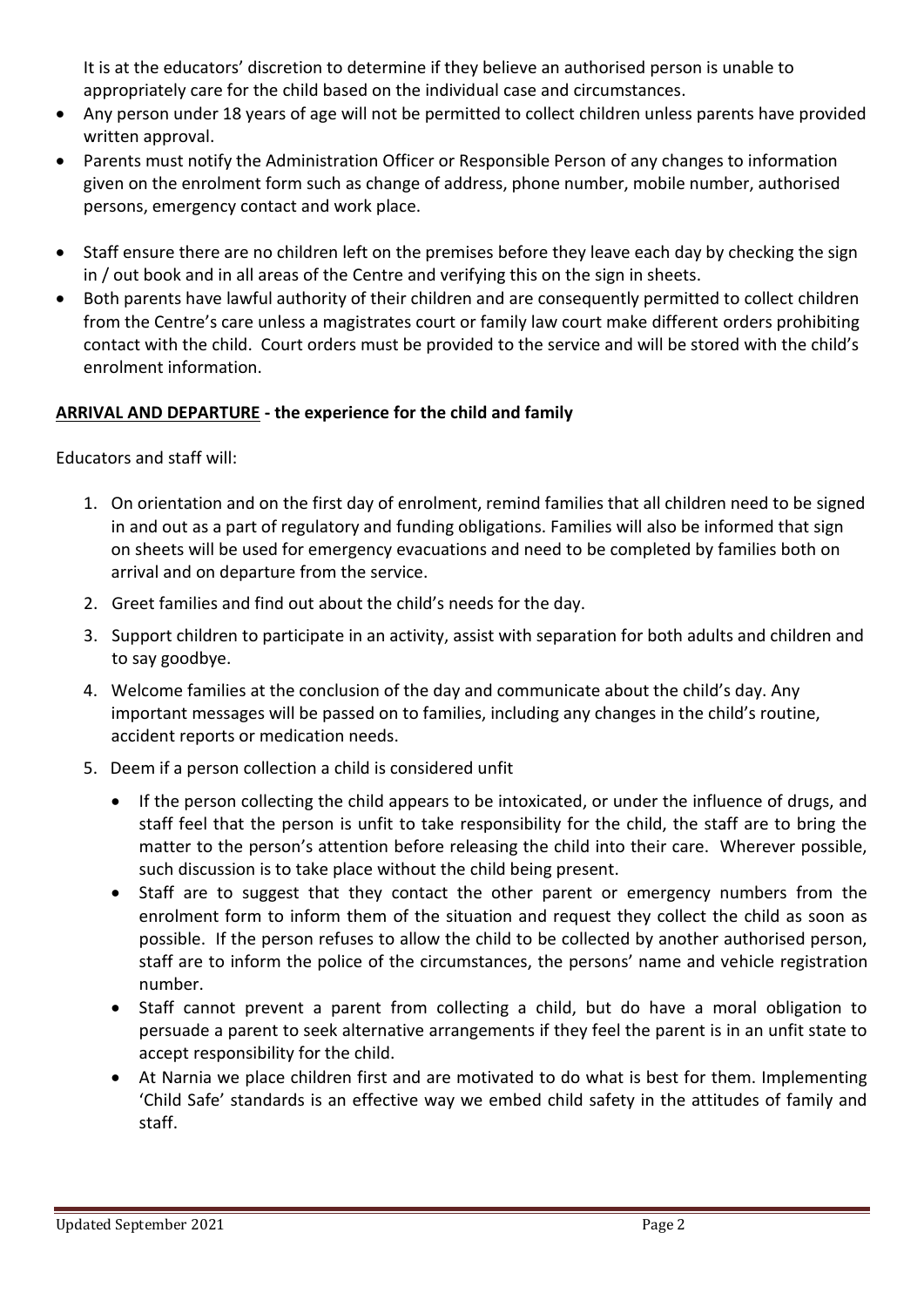It is at the educators' discretion to determine if they believe an authorised person is unable to appropriately care for the child based on the individual case and circumstances.

- Any person under 18 years of age will not be permitted to collect children unless parents have provided written approval.
- Parents must notify the Administration Officer or Responsible Person of any changes to information given on the enrolment form such as change of address, phone number, mobile number, authorised persons, emergency contact and work place.
- Staff ensure there are no children left on the premises before they leave each day by checking the sign in / out book and in all areas of the Centre and verifying this on the sign in sheets.
- Both parents have lawful authority of their children and are consequently permitted to collect children from the Centre's care unless a magistrates court or family law court make different orders prohibiting contact with the child. Court orders must be provided to the service and will be stored with the child's enrolment information.

## **ARRIVAL AND DEPARTURE - the experience for the child and family**

Educators and staff will:

- 1. On orientation and on the first day of enrolment, remind families that all children need to be signed in and out as a part of regulatory and funding obligations. Families will also be informed that sign on sheets will be used for emergency evacuations and need to be completed by families both on arrival and on departure from the service.
- 2. Greet families and find out about the child's needs for the day.
- 3. Support children to participate in an activity, assist with separation for both adults and children and to say goodbye.
- 4. Welcome families at the conclusion of the day and communicate about the child's day. Any important messages will be passed on to families, including any changes in the child's routine, accident reports or medication needs.
- 5. Deem if a person collection a child is considered unfit
	- If the person collecting the child appears to be intoxicated, or under the influence of drugs, and staff feel that the person is unfit to take responsibility for the child, the staff are to bring the matter to the person's attention before releasing the child into their care. Wherever possible, such discussion is to take place without the child being present.
	- Staff are to suggest that they contact the other parent or emergency numbers from the enrolment form to inform them of the situation and request they collect the child as soon as possible. If the person refuses to allow the child to be collected by another authorised person, staff are to inform the police of the circumstances, the persons' name and vehicle registration number.
	- Staff cannot prevent a parent from collecting a child, but do have a moral obligation to persuade a parent to seek alternative arrangements if they feel the parent is in an unfit state to accept responsibility for the child.
	- At Narnia we place children first and are motivated to do what is best for them. Implementing 'Child Safe' standards is an effective way we embed child safety in the attitudes of family and staff.